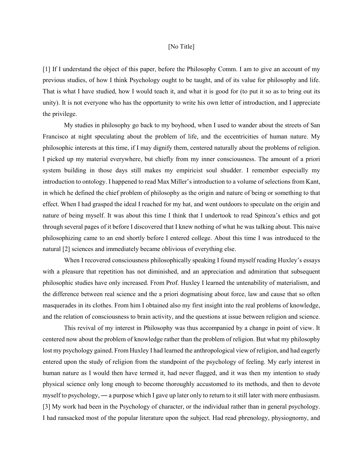## [No Title]

[1] If I understand the object of this paper, before the Philosophy Comm. I am to give an account of my previous studies, of how I think Psychology ought to be taught, and of its value for philosophy and life. That is what I have studied, how I would teach it, and what it is good for (to put it so as to bring out its unity). It is not everyone who has the opportunity to write his own letter of introduction, and I appreciate the privilege.

My studies in philosophy go back to my boyhood, when I used to wander about the streets of San Francisco at night speculating about the problem of life, and the eccentricities of human nature. My philosophic interests at this time, if I may dignify them, centered naturally about the problems of religion. I picked up my material everywhere, but chiefly from my inner consciousness. The amount of a priori system building in those days still makes my empiricist soul shudder. I remember especially my introduction to ontology. I happened to read Max Miller's introduction to a volume of selections from Kant, in which he defined the chief problem of philosophy as the origin and nature of being or something to that effect. When I had grasped the ideal I reached for my hat, and went outdoors to speculate on the origin and nature of being myself. It was about this time I think that I undertook to read Spinoza's ethics and got through several pages of it before I discovered that I knew nothing of what he was talking about. This naive philosophizing came to an end shortly before I entered college. About this time I was introduced to the natural [2] sciences and immediately became oblivious of everything else.

When I recovered consciousness philosophically speaking I found myself reading Huxley's essays with a pleasure that repetition has not diminished, and an appreciation and admiration that subsequent philosophic studies have only increased. From Prof. Huxley I learned the untenability of materialism, and the difference between real science and the a priori dogmatising about force, law and cause that so often masquerades in its clothes. From him I obtained also my first insight into the real problems of knowledge, and the relation of consciousness to brain activity, and the questions at issue between religion and science.

This revival of my interest in Philosophy was thus accompanied by a change in point of view. It centered now about the problem of knowledge rather than the problem of religion. But what my philosophy lost my psychology gained. From Huxley I had learned the anthropological view of religion, and had eagerly entered upon the study of religion from the standpoint of the psychology of feeling. My early interest in human nature as I would then have termed it, had never flagged, and it was then my intention to study physical science only long enough to become thoroughly accustomed to its methods, and then to devote myself to psychology, ― a purpose which I gave up later only to return to it still later with more enthusiasm. [3] My work had been in the Psychology of character, or the individual rather than in general psychology. I had ransacked most of the popular literature upon the subject. Had read phrenology, physiognomy, and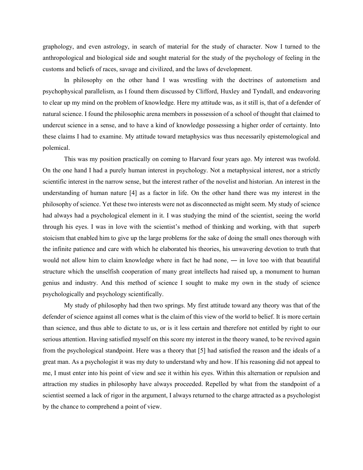graphology, and even astrology, in search of material for the study of character. Now I turned to the anthropological and biological side and sought material for the study of the psychology of feeling in the customs and beliefs of races, savage and civilized, and the laws of development.

In philosophy on the other hand I was wrestling with the doctrines of autometism and psychophysical parallelism, as I found them discussed by Clifford, Huxley and Tyndall, and endeavoring to clear up my mind on the problem of knowledge. Here my attitude was, as it still is, that of a defender of natural science. I found the philosophic arena members in possession of a school of thought that claimed to undercut science in a sense, and to have a kind of knowledge possessing a higher order of certainty. Into these claims I had to examine. My attitude toward metaphysics was thus necessarily epistemological and polemical.

This was my position practically on coming to Harvard four years ago. My interest was twofold. On the one hand I had a purely human interest in psychology. Not a metaphysical interest, nor a strictly scientific interest in the narrow sense, but the interest rather of the novelist and historian. An interest in the understanding of human nature [4] as a factor in life. On the other hand there was my interest in the philosophy of science. Yet these two interests were not as disconnected as might seem. My study of science had always had a psychological element in it. I was studying the mind of the scientist, seeing the world through his eyes. I was in love with the scientist's method of thinking and working, with that superb stoicism that enabled him to give up the large problems for the sake of doing the small ones thorough with the infinite patience and care with which he elaborated his theories, his unwavering devotion to truth that would not allow him to claim knowledge where in fact he had none, — in love too with that beautiful structure which the unselfish cooperation of many great intellects had raised up, a monument to human genius and industry. And this method of science I sought to make my own in the study of science psychologically and psychology scientifically.

My study of philosophy had then two springs. My first attitude toward any theory was that of the defender of science against all comes what is the claim of this view of the world to belief. It is more certain than science, and thus able to dictate to us, or is it less certain and therefore not entitled by right to our serious attention. Having satisfied myself on this score my interest in the theory waned, to be revived again from the psychological standpoint. Here was a theory that [5] had satisfied the reason and the ideals of a great man. As a psychologist it was my duty to understand why and how. If his reasoning did not appeal to me, I must enter into his point of view and see it within his eyes. Within this alternation or repulsion and attraction my studies in philosophy have always proceeded. Repelled by what from the standpoint of a scientist seemed a lack of rigor in the argument, I always returned to the charge attracted as a psychologist by the chance to comprehend a point of view.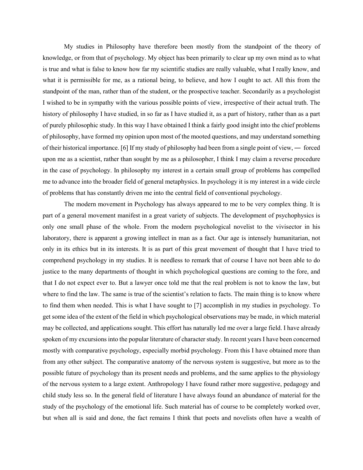My studies in Philosophy have therefore been mostly from the standpoint of the theory of knowledge, or from that of psychology. My object has been primarily to clear up my own mind as to what is true and what is false to know how far my scientific studies are really valuable, what I really know, and what it is permissible for me, as a rational being, to believe, and how I ought to act. All this from the standpoint of the man, rather than of the student, or the prospective teacher. Secondarily as a psychologist I wished to be in sympathy with the various possible points of view, irrespective of their actual truth. The history of philosophy I have studied, in so far as I have studied it, as a part of history, rather than as a part of purely philosophic study. In this way I have obtained I think a fairly good insight into the chief problems of philosophy, have formed my opinion upon most of the mooted questions, and may understand something of their historical importance. [6] If my study of philosophy had been from a single point of view, ― forced upon me as a scientist, rather than sought by me as a philosopher, I think I may claim a reverse procedure in the case of psychology. In philosophy my interest in a certain small group of problems has compelled me to advance into the broader field of general metaphysics. In psychology it is my interest in a wide circle of problems that has constantly driven me into the central field of conventional psychology.

The modern movement in Psychology has always appeared to me to be very complex thing. It is part of a general movement manifest in a great variety of subjects. The development of psychophysics is only one small phase of the whole. From the modern psychological novelist to the vivisector in his laboratory, there is apparent a growing intellect in man as a fact. Our age is intensely humanitarian, not only in its ethics but in its interests. It is as part of this great movement of thought that I have tried to comprehend psychology in my studies. It is needless to remark that of course I have not been able to do justice to the many departments of thought in which psychological questions are coming to the fore, and that I do not expect ever to. But a lawyer once told me that the real problem is not to know the law, but where to find the law. The same is true of the scientist's relation to facts. The main thing is to know where to find them when needed. This is what I have sought to [7] accomplish in my studies in psychology. To get some idea of the extent of the field in which psychological observations may be made, in which material may be collected, and applications sought. This effort has naturally led me over a large field. I have already spoken of my excursions into the popular literature of character study. In recent years I have been concerned mostly with comparative psychology, especially morbid psychology. From this I have obtained more than from any other subject. The comparative anatomy of the nervous system is suggestive, but more as to the possible future of psychology than its present needs and problems, and the same applies to the physiology of the nervous system to a large extent. Anthropology I have found rather more suggestive, pedagogy and child study less so. In the general field of literature I have always found an abundance of material for the study of the psychology of the emotional life. Such material has of course to be completely worked over, but when all is said and done, the fact remains I think that poets and novelists often have a wealth of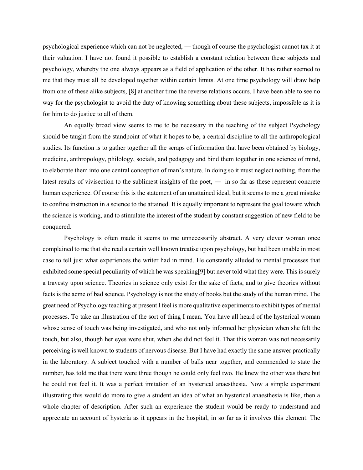psychological experience which can not be neglected, ― though of course the psychologist cannot tax it at their valuation. I have not found it possible to establish a constant relation between these subjects and psychology, whereby the one always appears as a field of application of the other. It has rather seemed to me that they must all be developed together within certain limits. At one time psychology will draw help from one of these alike subjects, [8] at another time the reverse relations occurs. I have been able to see no way for the psychologist to avoid the duty of knowing something about these subjects, impossible as it is for him to do justice to all of them.

An equally broad view seems to me to be necessary in the teaching of the subject Psychology should be taught from the standpoint of what it hopes to be, a central discipline to all the anthropological studies. Its function is to gather together all the scraps of information that have been obtained by biology, medicine, anthropology, philology, socials, and pedagogy and bind them together in one science of mind, to elaborate them into one central conception of man's nature. In doing so it must neglect nothing, from the latest results of vivisection to the sublimest insights of the poet, ― in so far as these represent concrete human experience. Of course this is the statement of an unattained ideal, but it seems to me a great mistake to confine instruction in a science to the attained. It is equally important to represent the goal toward which the science is working, and to stimulate the interest of the student by constant suggestion of new field to be conquered.

Psychology is often made it seems to me unnecessarily abstract. A very clever woman once complained to me that she read a certain well known treatise upon psychology, but had been unable in most case to tell just what experiences the writer had in mind. He constantly alluded to mental processes that exhibited some special peculiarity of which he was speaking[9] but never told what they were. This is surely a travesty upon science. Theories in science only exist for the sake of facts, and to give theories without facts is the acme of bad science. Psychology is not the study of books but the study of the human mind. The great need of Psychology teaching at present I feel is more qualitative experiments to exhibit types of mental processes. To take an illustration of the sort of thing I mean. You have all heard of the hysterical woman whose sense of touch was being investigated, and who not only informed her physician when she felt the touch, but also, though her eyes were shut, when she did not feel it. That this woman was not necessarily perceiving is well known to students of nervous disease. But I have had exactly the same answer practically in the laboratory. A subject touched with a number of balls near together, and commended to state the number, has told me that there were three though he could only feel two. He knew the other was there but he could not feel it. It was a perfect imitation of an hysterical anaesthesia. Now a simple experiment illustrating this would do more to give a student an idea of what an hysterical anaesthesia is like, then a whole chapter of description. After such an experience the student would be ready to understand and appreciate an account of hysteria as it appears in the hospital, in so far as it involves this element. The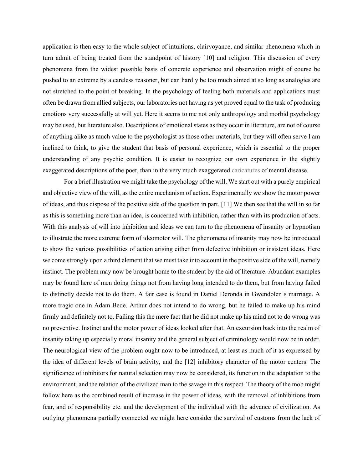application is then easy to the whole subject of intuitions, clairvoyance, and similar phenomena which in turn admit of being treated from the standpoint of history [10] and religion. This discussion of every phenomena from the widest possible basis of concrete experience and observation might of course be pushed to an extreme by a careless reasoner, but can hardly be too much aimed at so long as analogies are not stretched to the point of breaking. In the psychology of feeling both materials and applications must often be drawn from allied subjects, our laboratories not having as yet proved equal to the task of producing emotions very successfully at will yet. Here it seems to me not only anthropology and morbid psychology may be used, but literature also. Descriptions of emotional states as they occur in literature, are not of course of anything alike as much value to the psychologist as those other materials, but they will often serve I am inclined to think, to give the student that basis of personal experience, which is essential to the proper understanding of any psychic condition. It is easier to recognize our own experience in the slightly exaggerated descriptions of the poet, than in the very much exaggerated caricatures of mental disease.

For a brief illustration we might take the psychology of the will. We start out with a purely empirical and objective view of the will, as the entire mechanism of action. Experimentally we show the motor power of ideas, and thus dispose of the positive side of the question in part. [11] We then see that the will in so far as this is something more than an idea, is concerned with inhibition, rather than with its production of acts. With this analysis of will into inhibition and ideas we can turn to the phenomena of insanity or hypnotism to illustrate the more extreme form of ideomotor will. The phenomena of insanity may now be introduced to show the various possibilities of action arising either from defective inhibition or insistent ideas. Here we come strongly upon a third element that we must take into account in the positive side of the will, namely instinct. The problem may now be brought home to the student by the aid of literature. Abundant examples may be found here of men doing things not from having long intended to do them, but from having failed to distinctly decide not to do them. A fair case is found in Daniel Deronda in Gwendolen's marriage. A more tragic one in Adam Bede. Arthur does not intend to do wrong, but he failed to make up his mind firmly and definitely not to. Failing this the mere fact that he did not make up his mind not to do wrong was no preventive. Instinct and the motor power of ideas looked after that. An excursion back into the realm of insanity taking up especially moral insanity and the general subject of criminology would now be in order. The neurological view of the problem ought now to be introduced, at least as much of it as expressed by the idea of different levels of brain activity, and the [12] inhibitory character of the motor centers. The significance of inhibitors for natural selection may now be considered, its function in the adaptation to the environment, and the relation of the civilized man to the savage in this respect. The theory of the mob might follow here as the combined result of increase in the power of ideas, with the removal of inhibitions from fear, and of responsibility etc. and the development of the individual with the advance of civilization. As outlying phenomena partially connected we might here consider the survival of customs from the lack of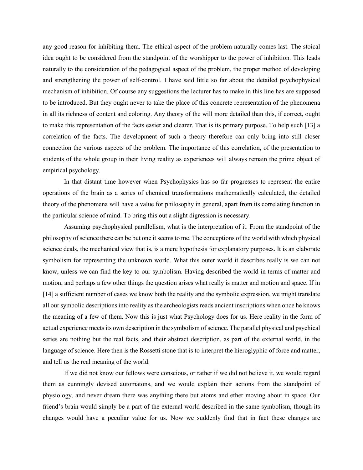any good reason for inhibiting them. The ethical aspect of the problem naturally comes last. The stoical idea ought to be considered from the standpoint of the worshipper to the power of inhibition. This leads naturally to the consideration of the pedagogical aspect of the problem, the proper method of developing and strengthening the power of self-control. I have said little so far about the detailed psychophysical mechanism of inhibition. Of course any suggestions the lecturer has to make in this line has are supposed to be introduced. But they ought never to take the place of this concrete representation of the phenomena in all its richness of content and coloring. Any theory of the will more detailed than this, if correct, ought to make this representation of the facts easier and clearer. That is its primary purpose. To help such [13] a correlation of the facts. The development of such a theory therefore can only bring into still closer connection the various aspects of the problem. The importance of this correlation, of the presentation to students of the whole group in their living reality as experiences will always remain the prime object of empirical psychology.

In that distant time however when Psychophysics has so far progresses to represent the entire operations of the brain as a series of chemical transformations mathematically calculated, the detailed theory of the phenomena will have a value for philosophy in general, apart from its correlating function in the particular science of mind. To bring this out a slight digression is necessary.

Assuming psychophysical parallelism, what is the interpretation of it. From the standpoint of the philosophy of science there can be but one it seems to me. The conceptions of the world with which physical science deals, the mechanical view that is, is a mere hypothesis for explanatory purposes. It is an elaborate symbolism for representing the unknown world. What this outer world it describes really is we can not know, unless we can find the key to our symbolism. Having described the world in terms of matter and motion, and perhaps a few other things the question arises what really is matter and motion and space. If in [14] a sufficient number of cases we know both the reality and the symbolic expression, we might translate all our symbolic descriptions into reality as the archeologists reads ancient inscriptions when once he knows the meaning of a few of them. Now this is just what Psychology does for us. Here reality in the form of actual experience meets its own description in the symbolism of science. The parallel physical and psychical series are nothing but the real facts, and their abstract description, as part of the external world, in the language of science. Here then is the Rossetti stone that is to interpret the hieroglyphic of force and matter, and tell us the real meaning of the world.

If we did not know our fellows were conscious, or rather if we did not believe it, we would regard them as cunningly devised automatons, and we would explain their actions from the standpoint of physiology, and never dream there was anything there but atoms and ether moving about in space. Our friend's brain would simply be a part of the external world described in the same symbolism, though its changes would have a peculiar value for us. Now we suddenly find that in fact these changes are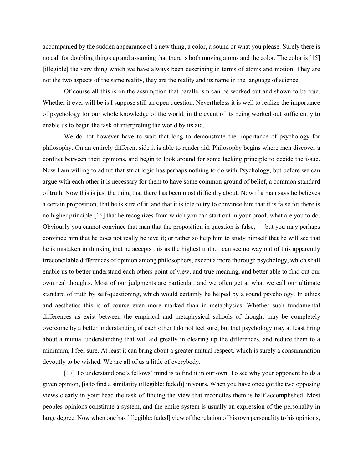accompanied by the sudden appearance of a new thing, a color, a sound or what you please. Surely there is no call for doubling things up and assuming that there is both moving atoms and the color. The color is [15] [illegible] the very thing which we have always been describing in terms of atoms and motion. They are not the two aspects of the same reality, they are the reality and its name in the language of science.

Of course all this is on the assumption that parallelism can be worked out and shown to be true. Whether it ever will be is I suppose still an open question. Nevertheless it is well to realize the importance of psychology for our whole knowledge of the world, in the event of its being worked out sufficiently to enable us to begin the task of interpreting the world by its aid.

We do not however have to wait that long to demonstrate the importance of psychology for philosophy. On an entirely different side it is able to render aid. Philosophy begins where men discover a conflict between their opinions, and begin to look around for some lacking principle to decide the issue. Now I am willing to admit that strict logic has perhaps nothing to do with Psychology, but before we can argue with each other it is necessary for them to have some common ground of belief, a common standard of truth. Now this is just the thing that there has been most difficulty about. Now if a man says he believes a certain proposition, that he is sure of it, and that it is idle to try to convince him that it is false for there is no higher principle [16] that he recognizes from which you can start out in your proof, what are you to do. Obviously you cannot convince that man that the proposition in question is false, ― but you may perhaps convince him that he does not really believe it; or rather so help him to study himself that he will see that he is mistaken in thinking that he accepts this as the highest truth. I can see no way out of this apparently irreconcilable differences of opinion among philosophers, except a more thorough psychology, which shall enable us to better understand each others point of view, and true meaning, and better able to find out our own real thoughts. Most of our judgments are particular, and we often get at what we call our ultimate standard of truth by self-questioning, which would certainly be helped by a sound psychology. In ethics and aesthetics this is of course even more marked than in metaphysics. Whether such fundamental differences as exist between the empirical and metaphysical schools of thought may be completely overcome by a better understanding of each other I do not feel sure; but that psychology may at least bring about a mutual understanding that will aid greatly in clearing up the differences, and reduce them to a minimum, I feel sure. At least it can bring about a greater mutual respect, which is surely a consummation devoutly to be wished. We are all of us a little of everybody.

[17] To understand one's fellows' mind is to find it in our own. To see why your opponent holds a given opinion, [is to find a similarity (illegible: faded)] in yours. When you have once got the two opposing views clearly in your head the task of finding the view that reconciles them is half accomplished. Most peoples opinions constitute a system, and the entire system is usually an expression of the personality in large degree. Now when one has [illegible: faded] view of the relation of his own personality to his opinions,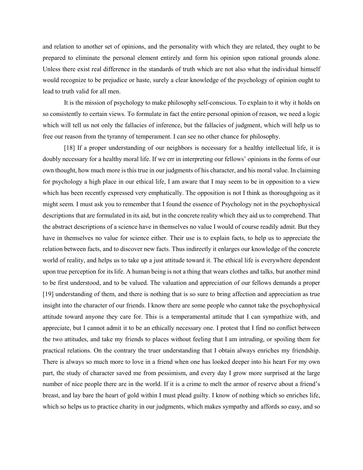and relation to another set of opinions, and the personality with which they are related, they ought to be prepared to eliminate the personal element entirely and form his opinion upon rational grounds alone. Unless there exist real difference in the standards of truth which are not also what the individual himself would recognize to be prejudice or haste, surely a clear knowledge of the psychology of opinion ought to lead to truth valid for all men.

It is the mission of psychology to make philosophy self-conscious. To explain to it why it holds on so consistently to certain views. To formulate in fact the entire personal opinion of reason, we need a logic which will tell us not only the fallacies of inference, but the fallacies of judgment, which will help us to free our reason from the tyranny of temperament. I can see no other chance for philosophy.

[18] If a proper understanding of our neighbors is necessary for a healthy intellectual life, it is doubly necessary for a healthy moral life. If we err in interpreting our fellows' opinions in the forms of our own thought, how much more is this true in our judgments of his character, and his moral value. In claiming for psychology a high place in our ethical life, I am aware that I may seem to be in opposition to a view which has been recently expressed very emphatically. The opposition is not I think as thoroughgoing as it might seem. I must ask you to remember that I found the essence of Psychology not in the psychophysical descriptions that are formulated in its aid, but in the concrete reality which they aid us to comprehend. That the abstract descriptions of a science have in themselves no value I would of course readily admit. But they have in themselves no value for science either. Their use is to explain facts, to help us to appreciate the relation between facts, and to discover new facts. Thus indirectly it enlarges our knowledge of the concrete world of reality, and helps us to take up a just attitude toward it. The ethical life is everywhere dependent upon true perception for its life. A human being is not a thing that wears clothes and talks, but another mind to be first understood, and to be valued. The valuation and appreciation of our fellows demands a proper [19] understanding of them, and there is nothing that is so sure to bring affection and appreciation as true insight into the character of our friends. I know there are some people who cannot take the psychophysical attitude toward anyone they care for. This is a temperamental attitude that I can sympathize with, and appreciate, but I cannot admit it to be an ethically necessary one. I protest that I find no conflict between the two attitudes, and take my friends to places without feeling that I am intruding, or spoiling them for practical relations. On the contrary the truer understanding that I obtain always enriches my friendship. There is always so much more to love in a friend when one has looked deeper into his heart For my own part, the study of character saved me from pessimism, and every day I grow more surprised at the large number of nice people there are in the world. If it is a crime to melt the armor of reserve about a friend's breast, and lay bare the heart of gold within I must plead guilty. I know of nothing which so enriches life, which so helps us to practice charity in our judgments, which makes sympathy and affords so easy, and so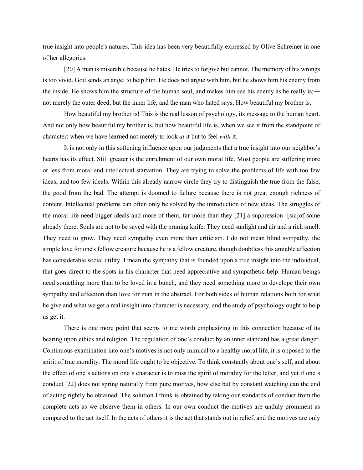true insight into people's natures. This idea has been very beautifully expressed by Olive Schreiner in one of her allegories.

[20] A man is miserable because he hates. He tries to forgive but cannot. The memory of his wrongs is too vivid. God sends an angel to help him. He does not argue with him, but he shows him his enemy from the inside. He shows him the structure of the human soul, and makes him see his enemy as he really is;― not merely the outer deed, but the inner life, and the man who hated says, How beautiful my brother is.

How beautiful my brother is! This is the real lesson of psychology, its message to the human heart. And not only how beautiful my brother is, but how beautiful life is, when we see it from the standpoint of character: when we have learned not merely to look *at* it but to feel *with* it.

It is not only in this softening influence upon our judgments that a true insight into our neighbor's hearts has its effect. Still greater is the enrichment of our own moral life. Most people are suffering more or less from moral and intellectual starvation. They are trying to solve the problems of life with too few ideas, and too few ideals. Within this already narrow circle they try to distinguish the true from the false, the good from the bad. The attempt is doomed to failure because there is not great enough richness of content. Intellectual problems can often only be solved by the introduction of new ideas. The struggles of the moral life need bigger ideals and more of them, far more than they [21] a suppression [sic]of some already there. Souls are not to be saved with the pruning knife. They need sunlight and air and a rich smell. They need to grow. They need sympathy even more than criticism. I do not mean blind sympathy, the simple love for one's fellow creature because he is a fellow creature, though doubtless this amiable affection has considerable social utility. I mean the sympathy that is founded upon a true insight into the individual, that goes direct to the spots in his character that need appreciative and sympathetic help. Human beings need something more than to be loved in a bunch, and they need something more to develope their own sympathy and affection than love for man in the abstract. For both sides of human relations both for what he give and what we get a real insight into character is necessary, and the study of psychology ought to help us get it.

There is one more point that seems to me worth emphasizing in this connection because of its bearing upon ethics and religion. The regulation of one's conduct by an inner standard has a great danger. Continuous examination into one's motives is not only inimical to a healthy moral life, it is opposed to the spirit of true morality. The moral life ought to be objective. To think constantly about one's self, and about the effect of one's actions on one's character is to miss the spirit of morality for the letter, and yet if one's conduct [22] does not spring naturally from pure motives, how else but by constant watching can the end of acting rightly be obtained. The solution I think is obtained by taking our standards of conduct from the complete acts as we observe them in others. In our own conduct the motives are unduly prominent as compared to the act itself. In the acts of others it is the act that stands out in relief, and the motives are only